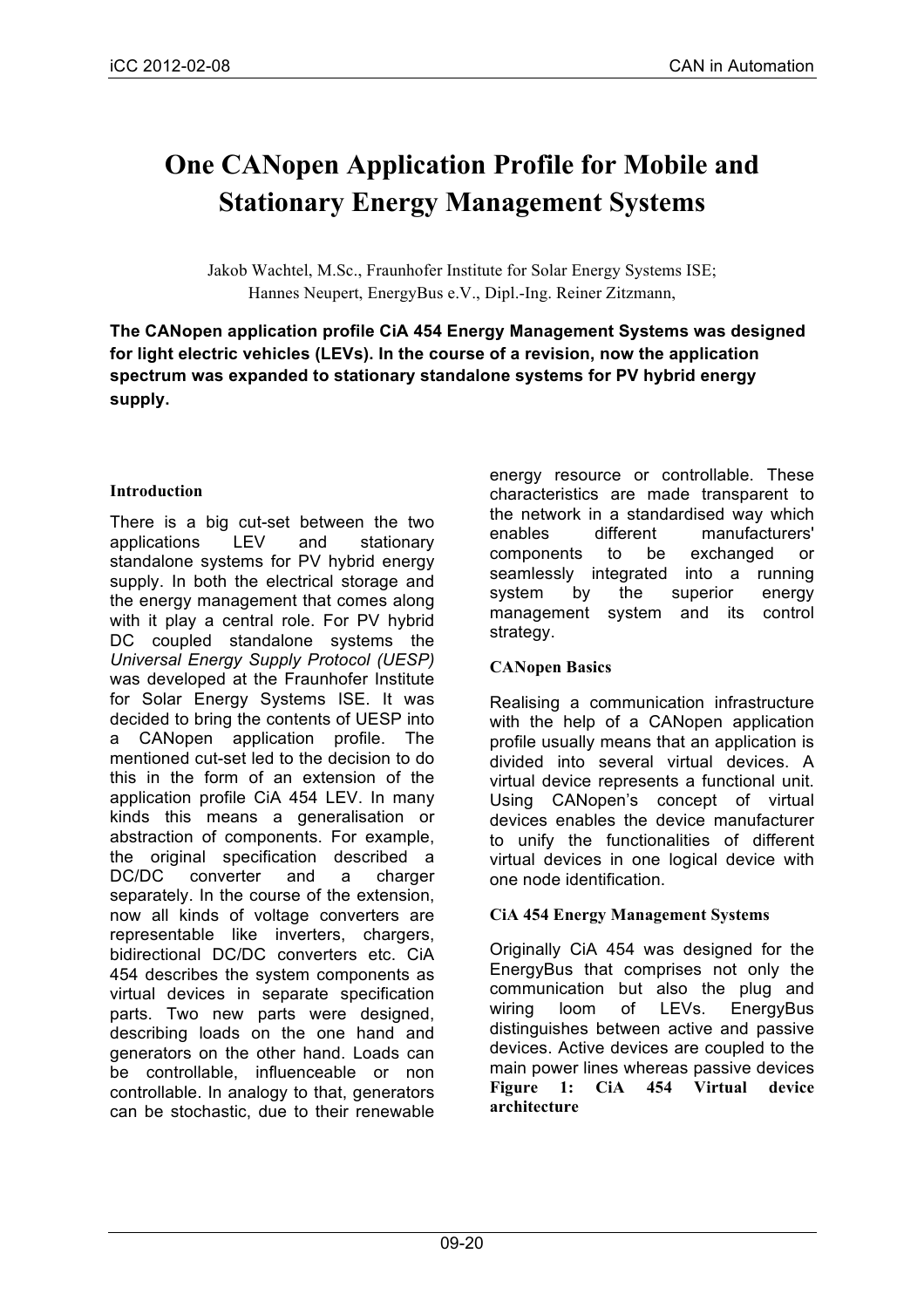# **One CANopen Application Profile for Mobile and Stationary Energy Management Systems**

Jakob Wachtel, M.Sc., Fraunhofer Institute for Solar Energy Systems ISE; Hannes Neupert, EnergyBus e.V., Dipl.-Ing. Reiner Zitzmann,

**The CANopen application profile CiA 454 Energy Management Systems was designed for light electric vehicles (LEVs). In the course of a revision, now the application spectrum was expanded to stationary standalone systems for PV hybrid energy supply.** 

# **Introduction**

There is a big cut-set between the two applications LEV and stationary standalone systems for PV hybrid energy supply. In both the electrical storage and the energy management that comes along with it play a central role. For PV hybrid DC coupled standalone systems the *Universal Energy Supply Protocol (UESP)* was developed at the Fraunhofer Institute for Solar Energy Systems ISE. It was decided to bring the contents of UESP into a CANopen application profile. The mentioned cut-set led to the decision to do this in the form of an extension of the application profile CiA 454 LEV. In many kinds this means a generalisation or abstraction of components. For example, the original specification described a DC/DC converter and a charger separately. In the course of the extension, now all kinds of voltage converters are representable like inverters, chargers, bidirectional DC/DC converters etc. CiA 454 describes the system components as virtual devices in separate specification parts. Two new parts were designed, describing loads on the one hand and generators on the other hand. Loads can be controllable, influenceable or non controllable. In analogy to that, generators can be stochastic, due to their renewable

energy resource or controllable. These characteristics are made transparent to the network in a standardised way which enables different manufacturers' components to be exchanged or seamlessly integrated into a running system by the superior energy management system and its control strategy.

# **CANopen Basics**

Realising a communication infrastructure with the help of a CANopen application profile usually means that an application is divided into several virtual devices. A virtual device represents a functional unit. Using CANopen's concept of virtual devices enables the device manufacturer to unify the functionalities of different virtual devices in one logical device with one node identification.

# **CiA 454 Energy Management Systems**

Originally CiA 454 was designed for the EnergyBus that comprises not only the communication but also the plug and wiring loom of LEVs. EnergyBus distinguishes between active and passive devices. Active devices are coupled to the main power lines whereas passive devices **Figure 1: CiA 454 Virtual device architecture**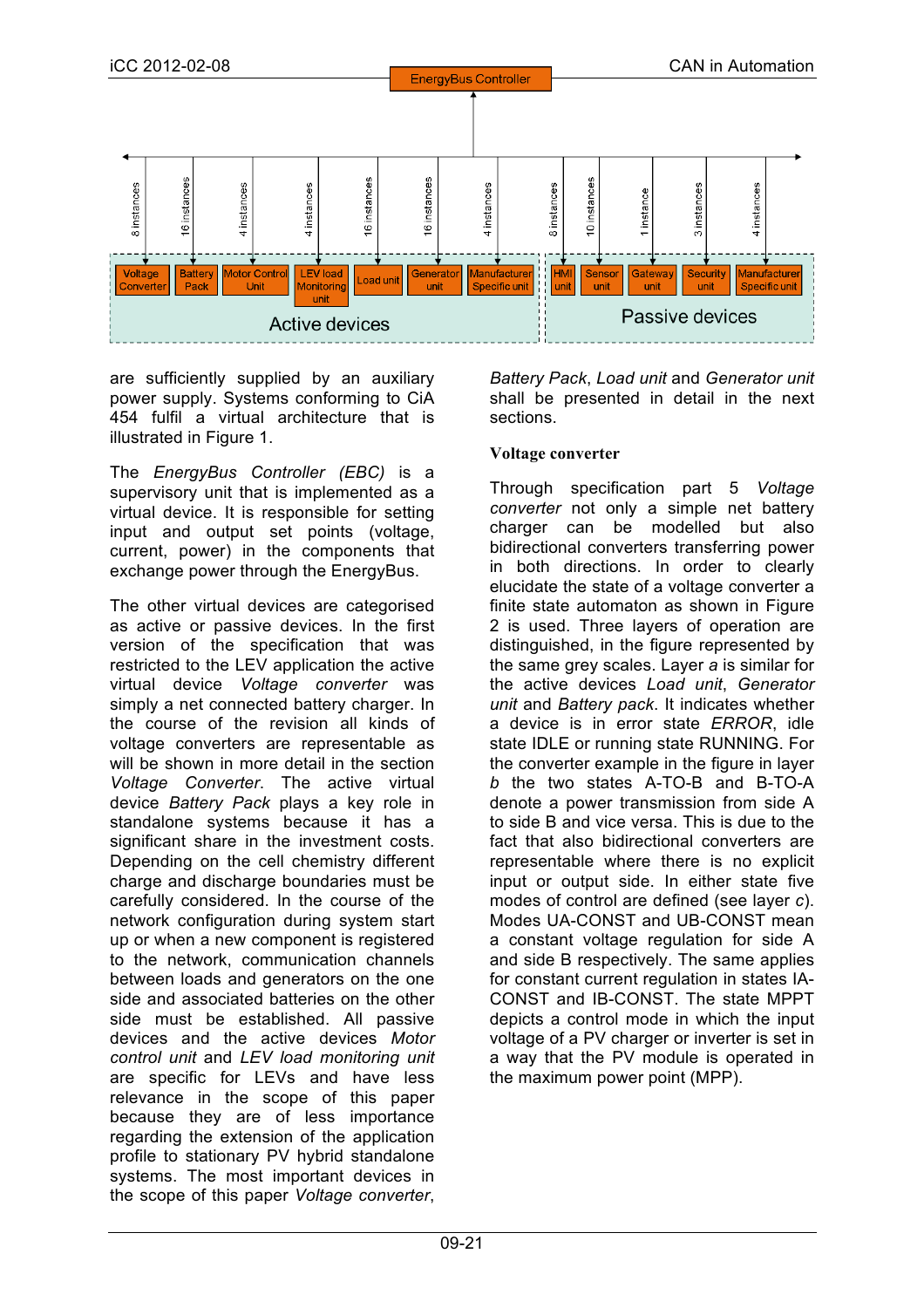

are sufficiently supplied by an auxiliary power supply. Systems conforming to CiA 454 fulfil a virtual architecture that is illustrated in Figure 1.

The *EnergyBus Controller (EBC)* is a supervisory unit that is implemented as a virtual device. It is responsible for setting input and output set points (voltage, current, power) in the components that exchange power through the EnergyBus.

The other virtual devices are categorised as active or passive devices. In the first version of the specification that was restricted to the LEV application the active virtual device *Voltage converter* was simply a net connected battery charger. In the course of the revision all kinds of voltage converters are representable as will be shown in more detail in the section *Voltage Converter*. The active virtual device *Battery Pack* plays a key role in standalone systems because it has a significant share in the investment costs. Depending on the cell chemistry different charge and discharge boundaries must be carefully considered. In the course of the network configuration during system start up or when a new component is registered to the network, communication channels between loads and generators on the one side and associated batteries on the other side must be established. All passive devices and the active devices *Motor control unit* and *LEV load monitoring unit*  are specific for LEVs and have less relevance in the scope of this paper because they are of less importance regarding the extension of the application profile to stationary PV hybrid standalone systems. The most important devices in the scope of this paper *Voltage converter*,

*Battery Pack*, *Load unit* and *Generator unit* shall be presented in detail in the next sections.

### **Voltage converter**

Through specification part 5 *Voltage converter* not only a simple net battery charger can be modelled but also bidirectional converters transferring power in both directions. In order to clearly elucidate the state of a voltage converter a finite state automaton as shown in Figure 2 is used. Three layers of operation are distinguished, in the figure represented by the same grey scales. Layer *a* is similar for the active devices *Load unit*, *Generator unit* and *Battery pack*. It indicates whether a device is in error state *ERROR*, idle state IDLE or running state RUNNING. For the converter example in the figure in layer *b* the two states A-TO-B and B-TO-A denote a power transmission from side A to side B and vice versa. This is due to the fact that also bidirectional converters are representable where there is no explicit input or output side. In either state five modes of control are defined (see layer *c*). Modes UA-CONST and UB-CONST mean a constant voltage regulation for side A and side B respectively. The same applies for constant current regulation in states IA-CONST and IB-CONST. The state MPPT depicts a control mode in which the input voltage of a PV charger or inverter is set in a way that the PV module is operated in the maximum power point (MPP).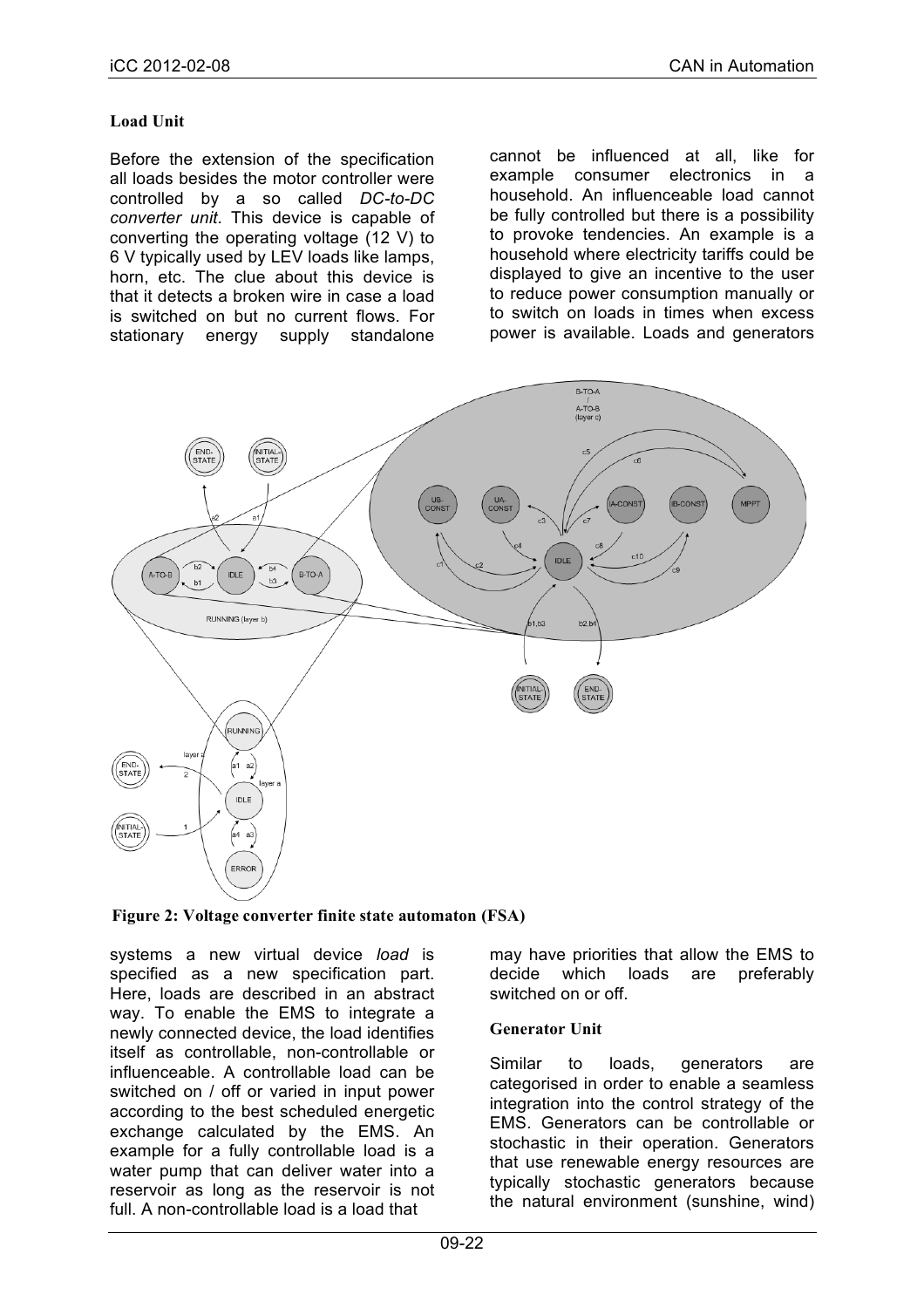### **Load Unit**

Before the extension of the specification all loads besides the motor controller were controlled by a so called *DC-to-DC converter unit*. This device is capable of converting the operating voltage (12 V) to 6 V typically used by LEV loads like lamps, horn, etc. The clue about this device is that it detects a broken wire in case a load is switched on but no current flows. For stationary energy supply standalone cannot be influenced at all, like for example consumer electronics in a household. An influenceable load cannot be fully controlled but there is a possibility to provoke tendencies. An example is a household where electricity tariffs could be displayed to give an incentive to the user to reduce power consumption manually or to switch on loads in times when excess power is available. Loads and generators



**Figure 2: Voltage converter finite state automaton (FSA)**

systems a new virtual device *load* is specified as a new specification part. Here, loads are described in an abstract way. To enable the EMS to integrate a newly connected device, the load identifies itself as controllable, non-controllable or influenceable. A controllable load can be switched on / off or varied in input power according to the best scheduled energetic exchange calculated by the EMS. An example for a fully controllable load is a water pump that can deliver water into a reservoir as long as the reservoir is not full. A non-controllable load is a load that

may have priorities that allow the EMS to decide which loads are preferably switched on or off.

#### **Generator Unit**

Similar to loads, generators are categorised in order to enable a seamless integration into the control strategy of the EMS. Generators can be controllable or stochastic in their operation. Generators that use renewable energy resources are typically stochastic generators because the natural environment (sunshine, wind)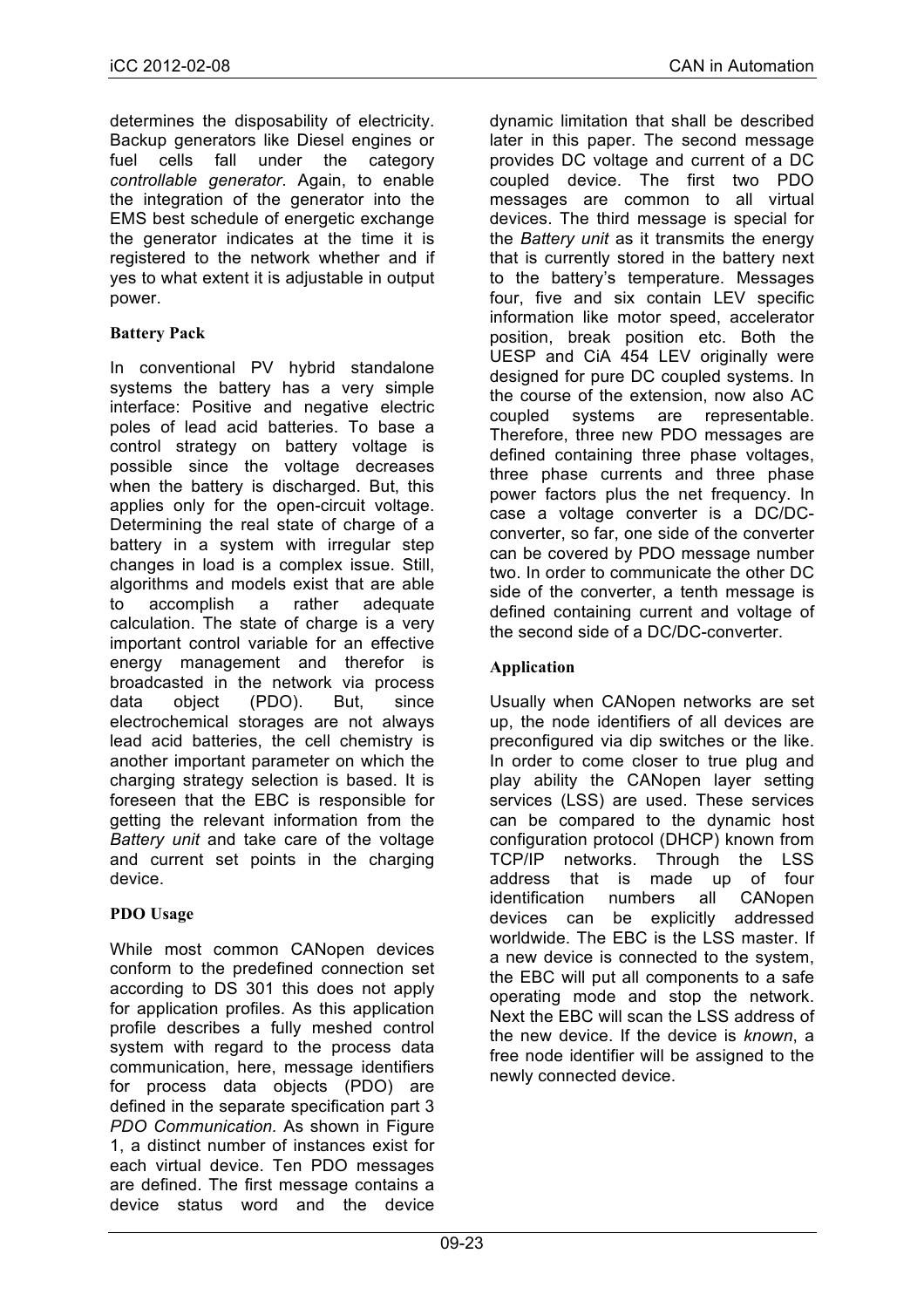determines the disposability of electricity. Backup generators like Diesel engines or fuel cells fall under the category *controllable generator*. Again, to enable the integration of the generator into the EMS best schedule of energetic exchange the generator indicates at the time it is registered to the network whether and if yes to what extent it is adjustable in output power.

# **Battery Pack**

In conventional PV hybrid standalone systems the battery has a very simple interface: Positive and negative electric poles of lead acid batteries. To base a control strategy on battery voltage is possible since the voltage decreases when the battery is discharged. But, this applies only for the open-circuit voltage. Determining the real state of charge of a battery in a system with irregular step changes in load is a complex issue. Still, algorithms and models exist that are able to accomplish a rather adequate calculation. The state of charge is a very important control variable for an effective energy management and therefor is broadcasted in the network via process data object (PDO). But, since electrochemical storages are not always lead acid batteries, the cell chemistry is another important parameter on which the charging strategy selection is based. It is foreseen that the EBC is responsible for getting the relevant information from the *Battery unit* and take care of the voltage and current set points in the charging device.

### **PDO Usage**

While most common CANopen devices conform to the predefined connection set according to DS 301 this does not apply for application profiles. As this application profile describes a fully meshed control system with regard to the process data communication, here, message identifiers for process data objects (PDO) are defined in the separate specification part 3 *PDO Communication.* As shown in Figure 1, a distinct number of instances exist for each virtual device. Ten PDO messages are defined. The first message contains a device status word and the device

dynamic limitation that shall be described later in this paper. The second message provides DC voltage and current of a DC coupled device. The first two PDO messages are common to all virtual devices. The third message is special for the *Battery unit* as it transmits the energy that is currently stored in the battery next to the battery's temperature. Messages four, five and six contain LEV specific information like motor speed, accelerator position, break position etc. Both the UESP and CiA 454 LEV originally were designed for pure DC coupled systems. In the course of the extension, now also AC coupled systems are representable. Therefore, three new PDO messages are defined containing three phase voltages, three phase currents and three phase power factors plus the net frequency. In case a voltage converter is a DC/DCconverter, so far, one side of the converter can be covered by PDO message number two. In order to communicate the other DC side of the converter, a tenth message is defined containing current and voltage of the second side of a DC/DC-converter.

# **Application**

Usually when CANopen networks are set up, the node identifiers of all devices are preconfigured via dip switches or the like. In order to come closer to true plug and play ability the CANopen layer setting services (LSS) are used. These services can be compared to the dynamic host configuration protocol (DHCP) known from TCP/IP networks. Through the LSS address that is made up of four identification numbers all CANopen devices can be explicitly addressed worldwide. The EBC is the LSS master. If a new device is connected to the system, the EBC will put all components to a safe operating mode and stop the network. Next the EBC will scan the LSS address of the new device. If the device is *known*, a free node identifier will be assigned to the newly connected device.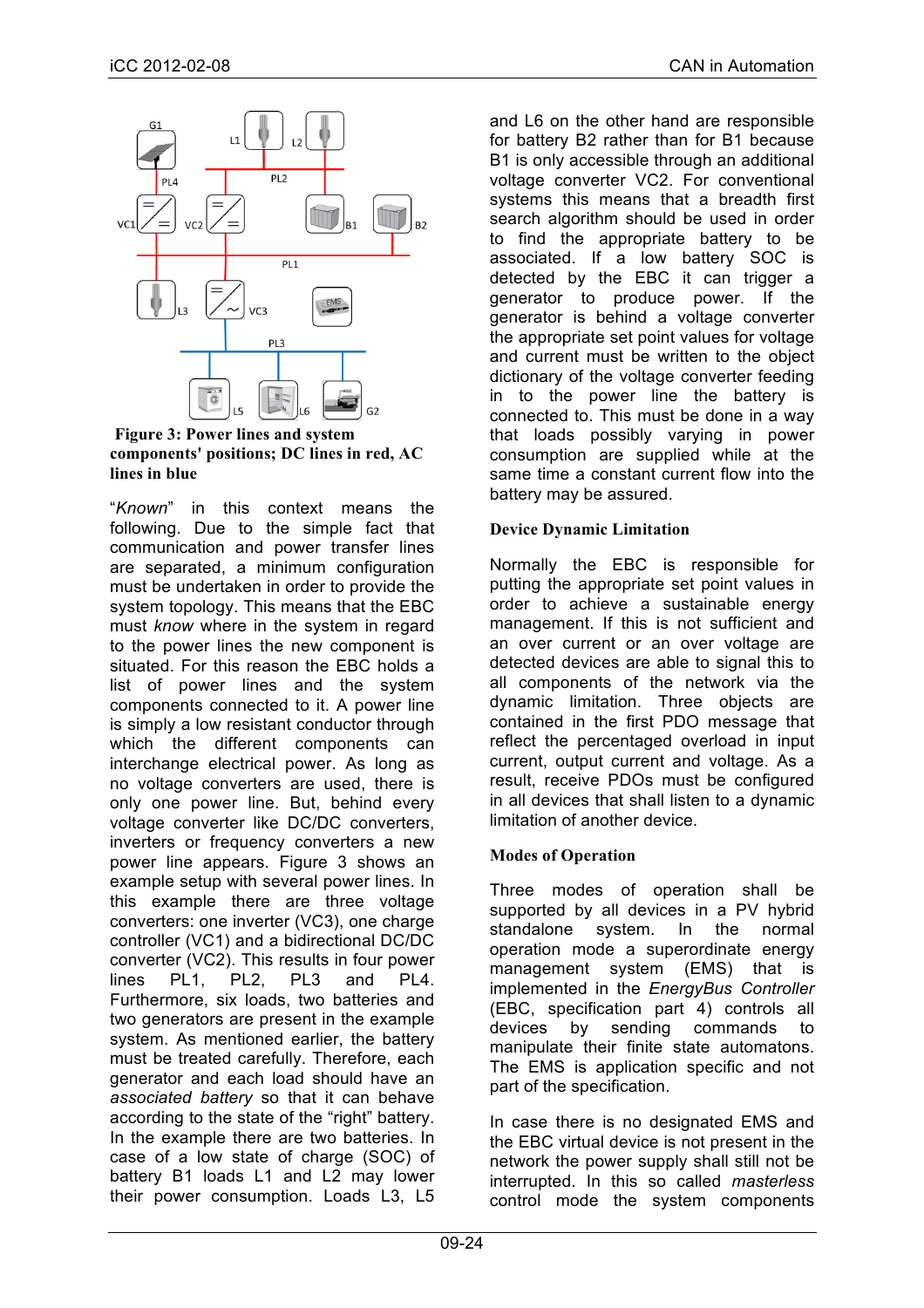

**Figure 3: Power lines and system components' positions; DC lines in red, AC lines in blue**

"*Known*" in this context means the following. Due to the simple fact that communication and power transfer lines are separated, a minimum configuration must be undertaken in order to provide the system topology. This means that the EBC must *know* where in the system in regard to the power lines the new component is situated. For this reason the EBC holds a list of power lines and the system components connected to it. A power line is simply a low resistant conductor through which the different components can interchange electrical power. As long as no voltage converters are used, there is only one power line. But, behind every voltage converter like DC/DC converters, inverters or frequency converters a new power line appears. Figure 3 shows an example setup with several power lines. In this example there are three voltage converters: one inverter (VC3), one charge controller (VC1) and a bidirectional DC/DC converter (VC2). This results in four power lines PL1, PL2, PL3 and PL4. Furthermore, six loads, two batteries and two generators are present in the example system. As mentioned earlier, the battery must be treated carefully. Therefore, each generator and each load should have an *associated battery* so that it can behave according to the state of the "right" battery. In the example there are two batteries. In case of a low state of charge (SOC) of battery B1 loads L1 and L2 may lower their power consumption. Loads L3, L5 and L6 on the other hand are responsible for battery B2 rather than for B1 because B1 is only accessible through an additional voltage converter VC2. For conventional systems this means that a breadth first search algorithm should be used in order to find the appropriate battery to be associated. If a low battery SOC is detected by the EBC it can trigger a generator to produce power. If the generator is behind a voltage converter the appropriate set point values for voltage and current must be written to the object dictionary of the voltage converter feeding in to the power line the battery is connected to. This must be done in a way that loads possibly varying in power consumption are supplied while at the same time a constant current flow into the battery may be assured.

### **Device Dynamic Limitation**

Normally the EBC is responsible for putting the appropriate set point values in order to achieve a sustainable energy management. If this is not sufficient and an over current or an over voltage are detected devices are able to signal this to all components of the network via the dynamic limitation. Three objects are contained in the first PDO message that reflect the percentaged overload in input current, output current and voltage. As a result, receive PDOs must be configured in all devices that shall listen to a dynamic limitation of another device.

# **Modes of Operation**

Three modes of operation shall be supported by all devices in a PV hybrid standalone system. In the normal operation mode a superordinate energy management system (EMS) that is implemented in the *EnergyBus Controller* (EBC, specification part 4) controls all devices by sending commands to manipulate their finite state automatons. The EMS is application specific and not part of the specification.

In case there is no designated EMS and the EBC virtual device is not present in the network the power supply shall still not be interrupted. In this so called *masterless*  control mode the system components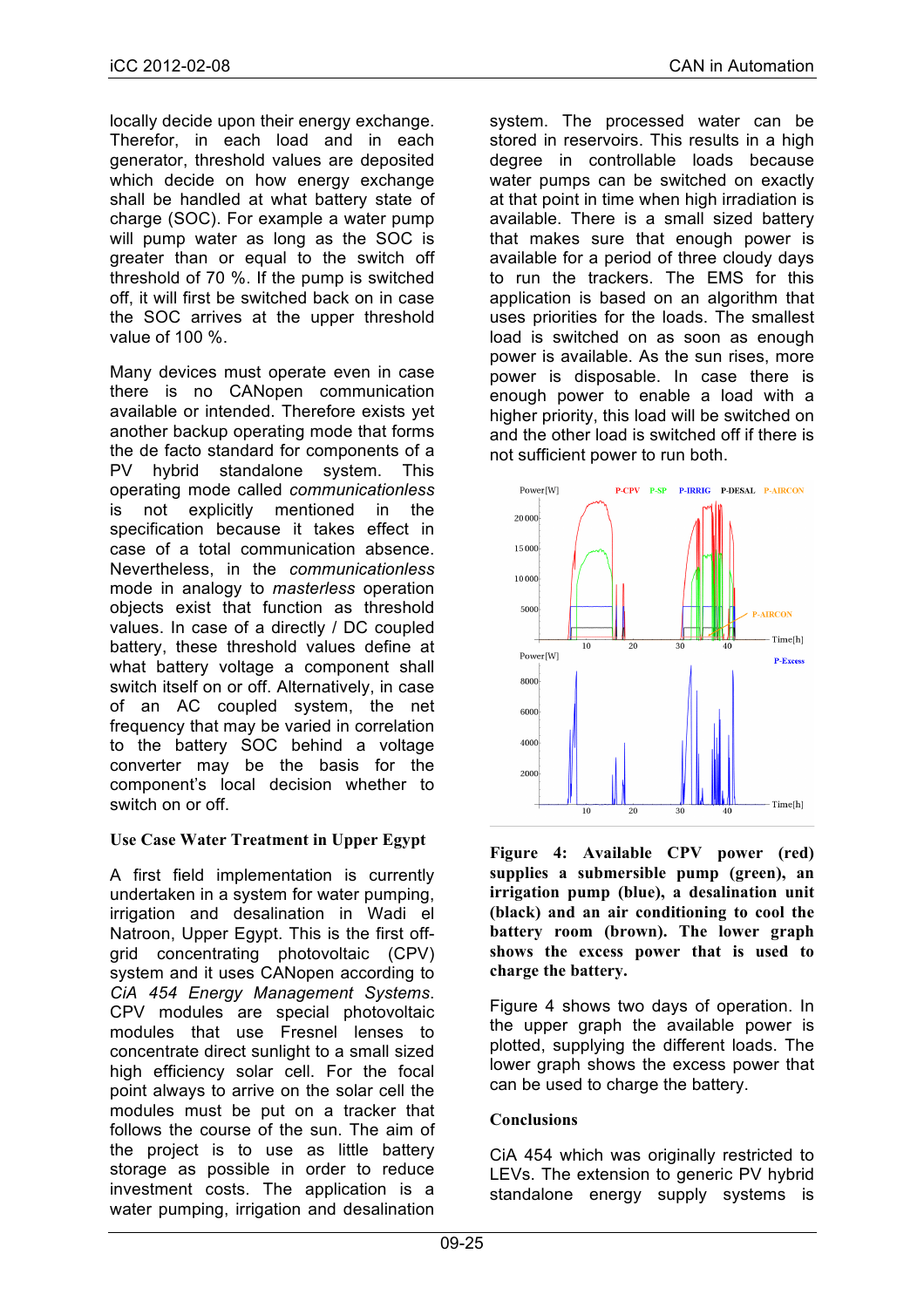locally decide upon their energy exchange. Therefor, in each load and in each generator, threshold values are deposited which decide on how energy exchange shall be handled at what battery state of charge (SOC). For example a water pump will pump water as long as the SOC is greater than or equal to the switch off threshold of 70 %. If the pump is switched off, it will first be switched back on in case the SOC arrives at the upper threshold value of 100 %.

Many devices must operate even in case there is no CANopen communication available or intended. Therefore exists yet another backup operating mode that forms the de facto standard for components of a PV hybrid standalone system. This operating mode called *communicationless* is not explicitly mentioned in the specification because it takes effect in case of a total communication absence. Nevertheless, in the *communicationless* mode in analogy to *masterless* operation objects exist that function as threshold values. In case of a directly / DC coupled battery, these threshold values define at what battery voltage a component shall switch itself on or off. Alternatively, in case of an AC coupled system, the net frequency that may be varied in correlation to the battery SOC behind a voltage converter may be the basis for the component's local decision whether to switch on or off.

### **Use Case Water Treatment in Upper Egypt**

A first field implementation is currently undertaken in a system for water pumping, irrigation and desalination in Wadi el Natroon, Upper Egypt. This is the first offgrid concentrating photovoltaic (CPV) system and it uses CANopen according to *CiA 454 Energy Management Systems*. CPV modules are special photovoltaic modules that use Fresnel lenses to concentrate direct sunlight to a small sized high efficiency solar cell. For the focal point always to arrive on the solar cell the modules must be put on a tracker that follows the course of the sun. The aim of the project is to use as little battery storage as possible in order to reduce investment costs. The application is a water pumping, irrigation and desalination

system. The processed water can be stored in reservoirs. This results in a high degree in controllable loads because water pumps can be switched on exactly at that point in time when high irradiation is available. There is a small sized battery that makes sure that enough power is available for a period of three cloudy days to run the trackers. The EMS for this application is based on an algorithm that uses priorities for the loads. The smallest load is switched on as soon as enough power is available. As the sun rises, more power is disposable. In case there is enough power to enable a load with a higher priority, this load will be switched on and the other load is switched off if there is not sufficient power to run both.



**Figure 4: Available CPV power (red) supplies a submersible pump (green), an irrigation pump (blue), a desalination unit (black) and an air conditioning to cool the battery room (brown). The lower graph shows the excess power that is used to charge the battery.**

Figure 4 shows two days of operation. In the upper graph the available power is plotted, supplying the different loads. The lower graph shows the excess power that can be used to charge the battery.

### **Conclusions**

CiA 454 which was originally restricted to LEVs. The extension to generic PV hybrid standalone energy supply systems is